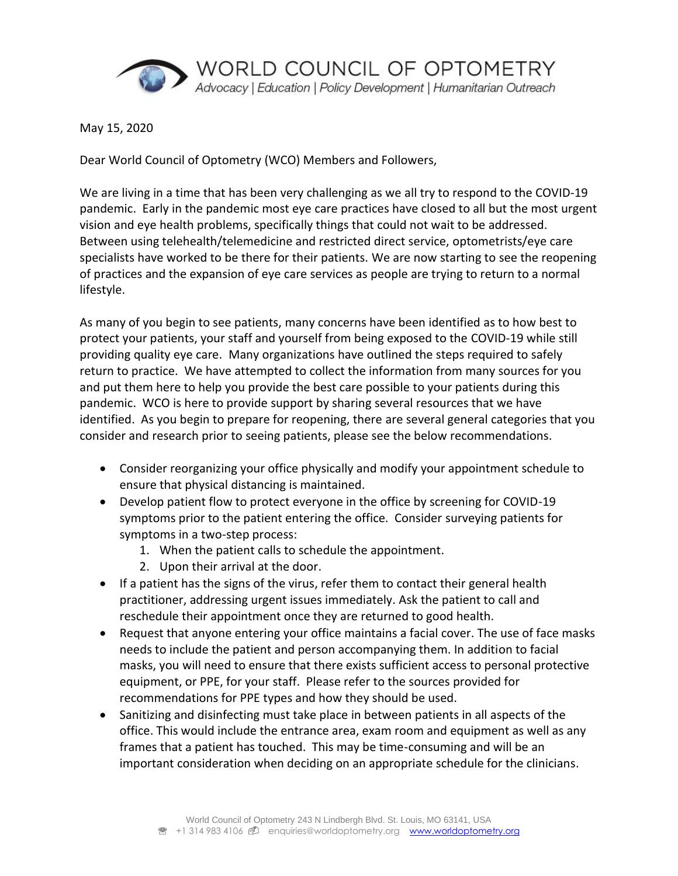

May 15, 2020

Dear World Council of Optometry (WCO) Members and Followers,

We are living in a time that has been very challenging as we all try to respond to the COVID-19 pandemic. Early in the pandemic most eye care practices have closed to all but the most urgent vision and eye health problems, specifically things that could not wait to be addressed. Between using telehealth/telemedicine and restricted direct service, optometrists/eye care specialists have worked to be there for their patients. We are now starting to see the reopening of practices and the expansion of eye care services as people are trying to return to a normal lifestyle.

As many of you begin to see patients, many concerns have been identified as to how best to protect your patients, your staff and yourself from being exposed to the COVID-19 while still providing quality eye care. Many organizations have outlined the steps required to safely return to practice. We have attempted to collect the information from many sources for you and put them here to help you provide the best care possible to your patients during this pandemic. WCO is here to provide support by sharing several resources that we have identified. As you begin to prepare for reopening, there are several general categories that you consider and research prior to seeing patients, please see the below recommendations.

- Consider reorganizing your office physically and modify your appointment schedule to ensure that physical distancing is maintained.
- Develop patient flow to protect everyone in the office by screening for COVID-19 symptoms prior to the patient entering the office. Consider surveying patients for symptoms in a two-step process:
	- 1. When the patient calls to schedule the appointment.
	- 2. Upon their arrival at the door.
- If a patient has the signs of the virus, refer them to contact their general health practitioner, addressing urgent issues immediately. Ask the patient to call and reschedule their appointment once they are returned to good health.
- Request that anyone entering your office maintains a facial cover. The use of face masks needs to include the patient and person accompanying them. In addition to facial masks, you will need to ensure that there exists sufficient access to personal protective equipment, or PPE, for your staff. Please refer to the sources provided for recommendations for PPE types and how they should be used.
- Sanitizing and disinfecting must take place in between patients in all aspects of the office. This would include the entrance area, exam room and equipment as well as any frames that a patient has touched. This may be time-consuming and will be an important consideration when deciding on an appropriate schedule for the clinicians.